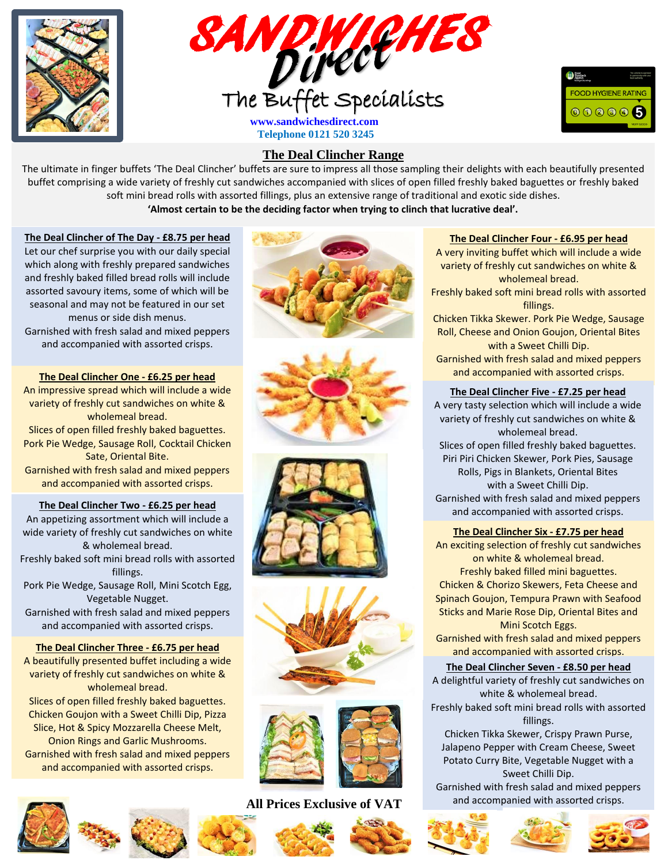





# **The Deal Clincher Range**

v **'Almost certain to be the deciding factor when trying to clinch that lucrative deal'.** The ultimate in finger buffets 'The Deal Clincher' buffets are sure to impress all those sampling their delights with each beautifully presented buffet comprising a wide variety of freshly cut sandwiches accompanied with slices of open filled freshly baked baguettes or freshly baked soft mini bread rolls with assorted fillings, plus an extensive range of traditional and exotic side dishes.

### **The Deal Clincher of The Day - £8.75 per head**

Let our chef surprise you with our daily special which along with freshly prepared sandwiches and freshly baked filled bread rolls will include assorted savoury items, some of which will be seasonal and may not be featured in our set menus or side dish menus. Garnished with fresh salad and mixed peppers and accompanied with assorted crisps.

**The Deal Clincher One - £6.25 per head**  An impressive spread which will include a wide variety of freshly cut sandwiches on white & wholemeal bread. Slices of open filled freshly baked baguettes. Pork Pie Wedge, Sausage Roll, Cocktail Chicken Sate, Oriental Bite. Garnished with fresh salad and mixed peppers and accompanied with assorted crisps.

### **The Deal Clincher Two - £6.25 per head**

An appetizing assortment which will include a wide variety of freshly cut sandwiches on white & wholemeal bread. Freshly baked soft mini bread rolls with assorted fillings. Pork Pie Wedge, Sausage Roll, Mini Scotch Egg, Vegetable Nugget. Garnished with fresh salad and mixed peppers and accompanied with assorted crisps. **The Deal Clincher Three - £6.75 per head** 

A beautifully presented buffet including a wide variety of freshly cut sandwiches on white & wholemeal bread. Slices of open filled freshly baked baguettes. Chicken Goujon with a Sweet Chilli Dip, Pizza Slice, Hot & Spicy Mozzarella Cheese Melt, Onion Rings and Garlic Mushrooms. Garnished with fresh salad and mixed peppers and accompanied with assorted crisps.















## **All Prices Exclusive of VAT**



## **The Deal Clincher Four - £6.95 per head**

A very inviting buffet which will include a wide variety of freshly cut sandwiches on white & wholemeal bread.

Freshly baked soft mini bread rolls with assorted fillings.

Chicken Tikka Skewer. Pork Pie Wedge, Sausage Roll, Cheese and Onion Goujon, Oriental Bites with a Sweet Chilli Dip.

Garnished with fresh salad and mixed peppers and accompanied with assorted crisps.

### **The Deal Clincher Five - £7.25 per head**

A very tasty selection which will include a wide variety of freshly cut sandwiches on white & wholemeal bread. Slices of open filled freshly baked baguettes. Piri Piri Chicken Skewer, Pork Pies, Sausage Rolls, Pigs in Blankets, Oriental Bites with a Sweet Chilli Dip. Garnished with fresh salad and mixed peppers and accompanied with assorted crisps.

#### **The Deal Clincher Six - £7.75 per head**

An exciting selection of freshly cut sandwiches on white & wholemeal bread. Freshly baked filled mini baguettes. Chicken & Chorizo Skewers, Feta Cheese and Spinach Goujon, Tempura Prawn with Seafood Sticks and Marie Rose Dip, Oriental Bites and Mini Scotch Eggs.

Garnished with fresh salad and mixed peppers and accompanied with assorted crisps.

### **The Deal Clincher Seven - £8.50 per head**

A delightful variety of freshly cut sandwiches on white & wholemeal bread.

Freshly baked soft mini bread rolls with assorted fillings.

Chicken Tikka Skewer, Crispy Prawn Purse, Jalapeno Pepper with Cream Cheese, Sweet Potato Curry Bite, Vegetable Nugget with a Sweet Chilli Dip. Garnished with fresh salad and mixed peppers and accompanied with assorted crisps.